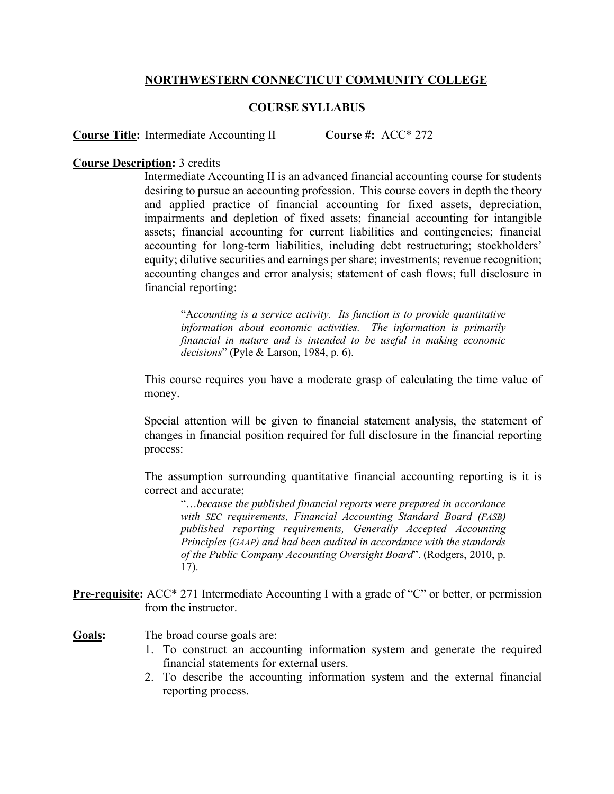## **NORTHWESTERN CONNECTICUT COMMUNITY COLLEGE**

## **COURSE SYLLABUS**

**Course Title:** Intermediate Accounting II **Course #:** ACC\* 272

## **Course Description:** 3 credits

Intermediate Accounting II is an advanced financial accounting course for students desiring to pursue an accounting profession. This course covers in depth the theory and applied practice of financial accounting for fixed assets, depreciation, impairments and depletion of fixed assets; financial accounting for intangible assets; financial accounting for current liabilities and contingencies; financial accounting for long-term liabilities, including debt restructuring; stockholders' equity; dilutive securities and earnings per share; investments; revenue recognition; accounting changes and error analysis; statement of cash flows; full disclosure in financial reporting:

"A*ccounting is a service activity. Its function is to provide quantitative information about economic activities. The information is primarily financial in nature and is intended to be useful in making economic decisions*" (Pyle & Larson, 1984, p. 6).

This course requires you have a moderate grasp of calculating the time value of money.

Special attention will be given to financial statement analysis, the statement of changes in financial position required for full disclosure in the financial reporting process:

The assumption surrounding quantitative financial accounting reporting is it is correct and accurate;

"…*because the published financial reports were prepared in accordance with SEC requirements, Financial Accounting Standard Board (FASB) published reporting requirements, Generally Accepted Accounting Principles (GAAP) and had been audited in accordance with the standards of the Public Company Accounting Oversight Board*". (Rodgers, 2010, p. 17).

**Pre-requisite:** ACC\* 271 Intermediate Accounting I with a grade of "C" or better, or permission from the instructor.

- Goals: The broad course goals are:
	- 1. To construct an accounting information system and generate the required financial statements for external users.
	- 2. To describe the accounting information system and the external financial reporting process.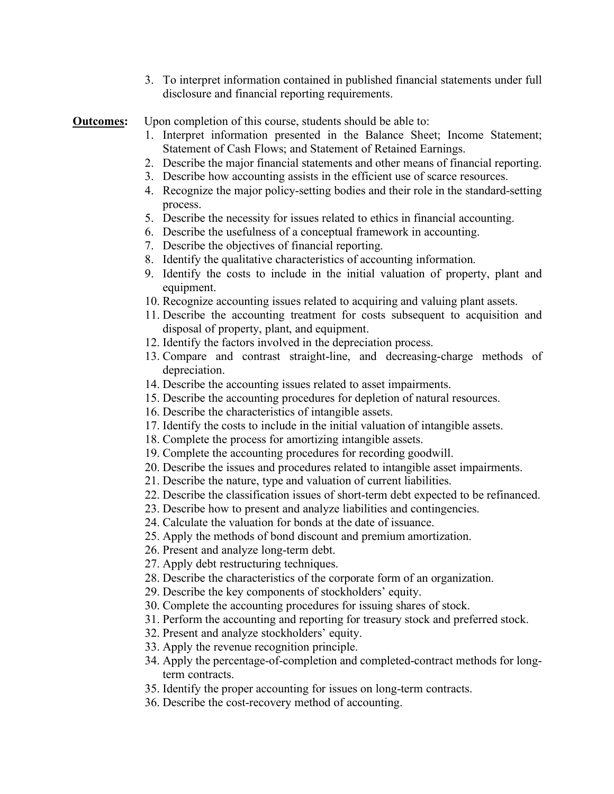3. To interpret information contained in published financial statements under full disclosure and financial reporting requirements.

**Outcomes:** Upon completion of this course, students should be able to:

- 1. Interpret information presented in the Balance Sheet; Income Statement; Statement of Cash Flows; and Statement of Retained Earnings.
- 2. Describe the major financial statements and other means of financial reporting.
- 3. Describe how accounting assists in the efficient use of scarce resources.
- 4. Recognize the major policy-setting bodies and their role in the standard-setting process.
- 5. Describe the necessity for issues related to ethics in financial accounting.
- 6. Describe the usefulness of a conceptual framework in accounting.
- 7. Describe the objectives of financial reporting.
- 8. Identify the qualitative characteristics of accounting information.
- 9. Identify the costs to include in the initial valuation of property, plant and equipment.
- 10. Recognize accounting issues related to acquiring and valuing plant assets.
- 11. Describe the accounting treatment for costs subsequent to acquisition and disposal of property, plant, and equipment.
- 12. Identify the factors involved in the depreciation process.
- 13. Compare and contrast straight-line, and decreasing-charge methods of depreciation.
- 14. Describe the accounting issues related to asset impairments.
- 15. Describe the accounting procedures for depletion of natural resources.
- 16. Describe the characteristics of intangible assets.
- 17. Identify the costs to include in the initial valuation of intangible assets.
- 18. Complete the process for amortizing intangible assets.
- 19. Complete the accounting procedures for recording goodwill.
- 20. Describe the issues and procedures related to intangible asset impairments.
- 21. Describe the nature, type and valuation of current liabilities.
- 22. Describe the classification issues of short-term debt expected to be refinanced.
- 23. Describe how to present and analyze liabilities and contingencies.
- 24. Calculate the valuation for bonds at the date of issuance.
- 25. Apply the methods of bond discount and premium amortization.
- 26. Present and analyze long-term debt.
- 27. Apply debt restructuring techniques.
- 28. Describe the characteristics of the corporate form of an organization.
- 29. Describe the key components of stockholders' equity.
- 30. Complete the accounting procedures for issuing shares of stock.
- 31. Perform the accounting and reporting for treasury stock and preferred stock.
- 32. Present and analyze stockholders' equity.
- 33. Apply the revenue recognition principle.
- 34. Apply the percentage-of-completion and completed-contract methods for longterm contracts.
- 35. Identify the proper accounting for issues on long-term contracts.
- 36. Describe the cost-recovery method of accounting.